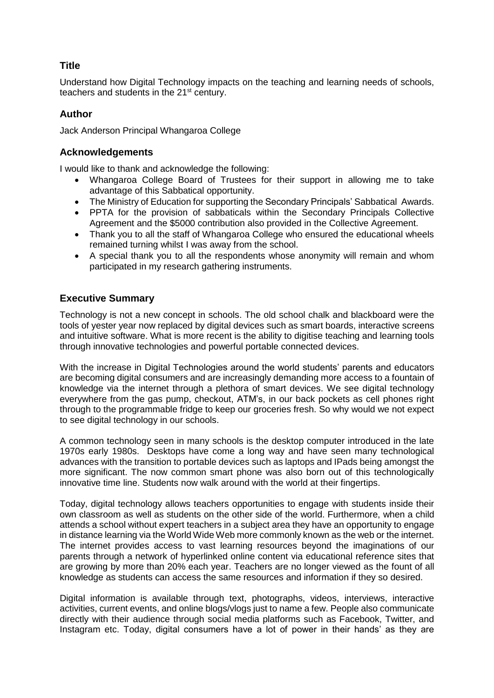# **Title**

Understand how Digital Technology impacts on the teaching and learning needs of schools, teachers and students in the 21st century.

# **Author**

Jack Anderson Principal Whangaroa College

# **Acknowledgements**

I would like to thank and acknowledge the following:

- Whangaroa College Board of Trustees for their support in allowing me to take advantage of this Sabbatical opportunity.
- The Ministry of Education for supporting the Secondary Principals' Sabbatical Awards.
- PPTA for the provision of sabbaticals within the Secondary Principals Collective Agreement and the \$5000 contribution also provided in the Collective Agreement.
- Thank you to all the staff of Whangaroa College who ensured the educational wheels remained turning whilst I was away from the school.
- A special thank you to all the respondents whose anonymity will remain and whom participated in my research gathering instruments.

# **Executive Summary**

Technology is not a new concept in schools. The old school chalk and blackboard were the tools of yester year now replaced by digital devices such as smart boards, interactive screens and intuitive software. What is more recent is the ability to digitise teaching and learning tools through innovative technologies and powerful portable connected devices.

With the increase in Digital Technologies around the world students' parents and educators are becoming digital consumers and are increasingly demanding more access to a fountain of knowledge via the internet through a plethora of smart devices. We see digital technology everywhere from the gas pump, checkout, ATM's, in our back pockets as cell phones right through to the programmable fridge to keep our groceries fresh. So why would we not expect to see digital technology in our schools.

A common technology seen in many schools is the desktop computer introduced in the late 1970s early 1980s. Desktops have come a long way and have seen many technological advances with the transition to portable devices such as laptops and IPads being amongst the more significant. The now common smart phone was also born out of this technologically innovative time line. Students now walk around with the world at their fingertips.

Today, digital technology allows teachers opportunities to engage with students inside their own classroom as well as students on the other side of the world. Furthermore, when a child attends a school without expert teachers in a subject area they have an opportunity to engage in distance learning via the World Wide Web more commonly known as the web or the internet. The internet provides access to vast learning resources beyond the imaginations of our parents through a network of hyperlinked online content via educational reference sites that are growing by more than 20% each year. Teachers are no longer viewed as the fount of all knowledge as students can access the same resources and information if they so desired.

Digital information is available through text, photographs, videos, interviews, interactive activities, current events, and online blogs/vlogs just to name a few. People also communicate directly with their audience through social media platforms such as Facebook, Twitter, and Instagram etc. Today, digital consumers have a lot of power in their hands' as they are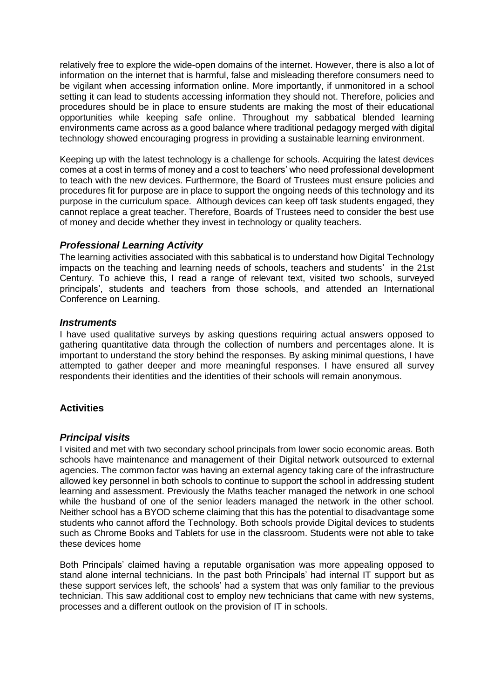relatively free to explore the wide-open domains of the internet. However, there is also a lot of information on the internet that is harmful, false and misleading therefore consumers need to be vigilant when accessing information online. More importantly, if unmonitored in a school setting it can lead to students accessing information they should not. Therefore, policies and procedures should be in place to ensure students are making the most of their educational opportunities while keeping safe online. Throughout my sabbatical blended learning environments came across as a good balance where traditional pedagogy merged with digital technology showed encouraging progress in providing a sustainable learning environment.

Keeping up with the latest technology is a challenge for schools. Acquiring the latest devices comes at a cost in terms of money and a cost to teachers' who need professional development to teach with the new devices. Furthermore, the Board of Trustees must ensure policies and procedures fit for purpose are in place to support the ongoing needs of this technology and its purpose in the curriculum space. Although devices can keep off task students engaged, they cannot replace a great teacher. Therefore, Boards of Trustees need to consider the best use of money and decide whether they invest in technology or quality teachers.

### *Professional Learning Activity*

The learning activities associated with this sabbatical is to understand how Digital Technology impacts on the teaching and learning needs of schools, teachers and students' in the 21st Century. To achieve this, I read a range of relevant text, visited two schools, surveyed principals', students and teachers from those schools, and attended an International Conference on Learning.

#### *Instruments*

I have used qualitative surveys by asking questions requiring actual answers opposed to gathering quantitative data through the collection of numbers and percentages alone. It is important to understand the story behind the responses. By asking minimal questions, I have attempted to gather deeper and more meaningful responses. I have ensured all survey respondents their identities and the identities of their schools will remain anonymous.

## **Activities**

### *Principal visits*

I visited and met with two secondary school principals from lower socio economic areas. Both schools have maintenance and management of their Digital network outsourced to external agencies. The common factor was having an external agency taking care of the infrastructure allowed key personnel in both schools to continue to support the school in addressing student learning and assessment. Previously the Maths teacher managed the network in one school while the husband of one of the senior leaders managed the network in the other school. Neither school has a BYOD scheme claiming that this has the potential to disadvantage some students who cannot afford the Technology. Both schools provide Digital devices to students such as Chrome Books and Tablets for use in the classroom. Students were not able to take these devices home

Both Principals' claimed having a reputable organisation was more appealing opposed to stand alone internal technicians. In the past both Principals' had internal IT support but as these support services left, the schools' had a system that was only familiar to the previous technician. This saw additional cost to employ new technicians that came with new systems, processes and a different outlook on the provision of IT in schools.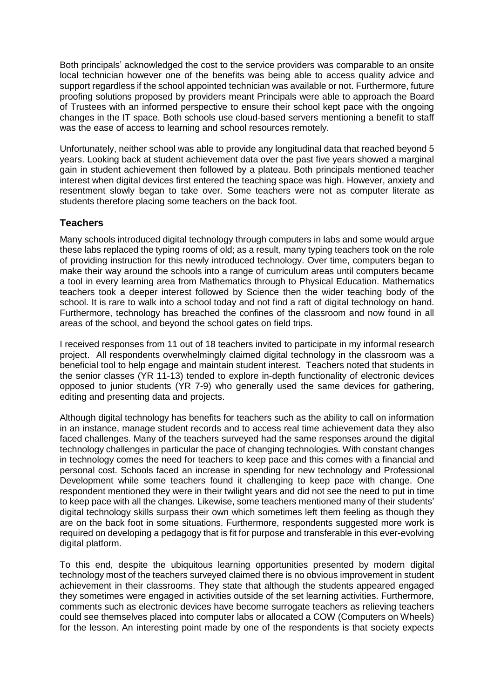Both principals' acknowledged the cost to the service providers was comparable to an onsite local technician however one of the benefits was being able to access quality advice and support regardless if the school appointed technician was available or not. Furthermore, future proofing solutions proposed by providers meant Principals were able to approach the Board of Trustees with an informed perspective to ensure their school kept pace with the ongoing changes in the IT space. Both schools use cloud-based servers mentioning a benefit to staff was the ease of access to learning and school resources remotely.

Unfortunately, neither school was able to provide any longitudinal data that reached beyond 5 years. Looking back at student achievement data over the past five years showed a marginal gain in student achievement then followed by a plateau. Both principals mentioned teacher interest when digital devices first entered the teaching space was high. However, anxiety and resentment slowly began to take over. Some teachers were not as computer literate as students therefore placing some teachers on the back foot.

## **Teachers**

Many schools introduced digital technology through computers in labs and some would argue these labs replaced the typing rooms of old; as a result, many typing teachers took on the role of providing instruction for this newly introduced technology. Over time, computers began to make their way around the schools into a range of curriculum areas until computers became a tool in every learning area from Mathematics through to Physical Education. Mathematics teachers took a deeper interest followed by Science then the wider teaching body of the school. It is rare to walk into a school today and not find a raft of digital technology on hand. Furthermore, technology has breached the confines of the classroom and now found in all areas of the school, and beyond the school gates on field trips.

I received responses from 11 out of 18 teachers invited to participate in my informal research project. All respondents overwhelmingly claimed digital technology in the classroom was a beneficial tool to help engage and maintain student interest. Teachers noted that students in the senior classes (YR 11-13) tended to explore in-depth functionality of electronic devices opposed to junior students (YR 7-9) who generally used the same devices for gathering, editing and presenting data and projects.

Although digital technology has benefits for teachers such as the ability to call on information in an instance, manage student records and to access real time achievement data they also faced challenges. Many of the teachers surveyed had the same responses around the digital technology challenges in particular the pace of changing technologies. With constant changes in technology comes the need for teachers to keep pace and this comes with a financial and personal cost. Schools faced an increase in spending for new technology and Professional Development while some teachers found it challenging to keep pace with change. One respondent mentioned they were in their twilight years and did not see the need to put in time to keep pace with all the changes. Likewise, some teachers mentioned many of their students' digital technology skills surpass their own which sometimes left them feeling as though they are on the back foot in some situations. Furthermore, respondents suggested more work is required on developing a pedagogy that is fit for purpose and transferable in this ever-evolving digital platform.

To this end, despite the ubiquitous learning opportunities presented by modern digital technology most of the teachers surveyed claimed there is no obvious improvement in student achievement in their classrooms. They state that although the students appeared engaged they sometimes were engaged in activities outside of the set learning activities. Furthermore, comments such as electronic devices have become surrogate teachers as relieving teachers could see themselves placed into computer labs or allocated a COW (Computers on Wheels) for the lesson. An interesting point made by one of the respondents is that society expects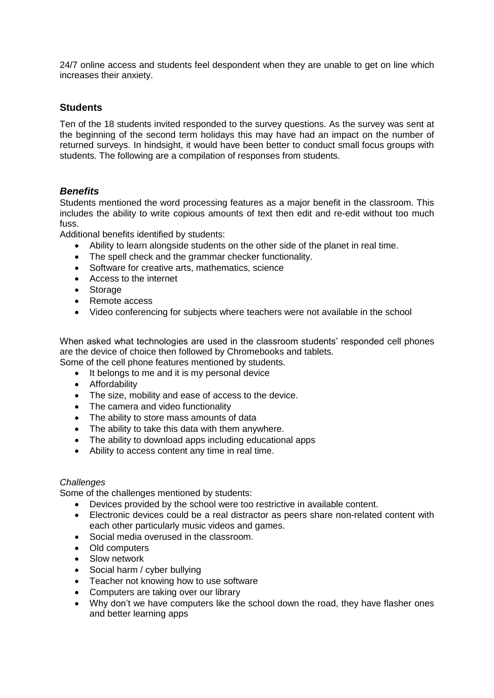24/7 online access and students feel despondent when they are unable to get on line which increases their anxiety.

## **Students**

Ten of the 18 students invited responded to the survey questions. As the survey was sent at the beginning of the second term holidays this may have had an impact on the number of returned surveys. In hindsight, it would have been better to conduct small focus groups with students. The following are a compilation of responses from students.

### *Benefits*

Students mentioned the word processing features as a major benefit in the classroom. This includes the ability to write copious amounts of text then edit and re-edit without too much fuss.

Additional benefits identified by students:

- Ability to learn alongside students on the other side of the planet in real time.
- The spell check and the grammar checker functionality.
- Software for creative arts, mathematics, science
- Access to the internet
- Storage
- Remote access
- Video conferencing for subjects where teachers were not available in the school

When asked what technologies are used in the classroom students' responded cell phones are the device of choice then followed by Chromebooks and tablets.

- Some of the cell phone features mentioned by students.
	- It belongs to me and it is my personal device
	- **•** Affordability
	- The size, mobility and ease of access to the device.
	- The camera and video functionality
	- The ability to store mass amounts of data
	- The ability to take this data with them anywhere.
	- The ability to download apps including educational apps
	- Ability to access content any time in real time.

#### *Challenges*

Some of the challenges mentioned by students:

- Devices provided by the school were too restrictive in available content.
- Electronic devices could be a real distractor as peers share non-related content with each other particularly music videos and games.
- Social media overused in the classroom.
- Old computers
- Slow network
- Social harm / cyber bullying
- Teacher not knowing how to use software
- Computers are taking over our library
- Why don't we have computers like the school down the road, they have flasher ones and better learning apps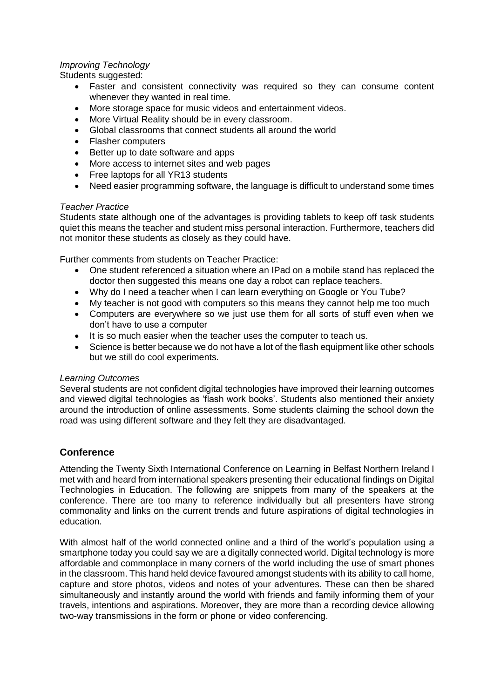### *Improving Technology*

Students suggested:

- Faster and consistent connectivity was required so they can consume content whenever they wanted in real time.
- More storage space for music videos and entertainment videos.
- More Virtual Reality should be in every classroom.
- Global classrooms that connect students all around the world
- Flasher computers
- Better up to date software and apps
- More access to internet sites and web pages
- Free laptops for all YR13 students
- Need easier programming software, the language is difficult to understand some times

#### *Teacher Practice*

Students state although one of the advantages is providing tablets to keep off task students quiet this means the teacher and student miss personal interaction. Furthermore, teachers did not monitor these students as closely as they could have.

Further comments from students on Teacher Practice:

- One student referenced a situation where an IPad on a mobile stand has replaced the doctor then suggested this means one day a robot can replace teachers.
- Why do I need a teacher when I can learn everything on Google or You Tube?
- My teacher is not good with computers so this means they cannot help me too much
- Computers are everywhere so we just use them for all sorts of stuff even when we don't have to use a computer
- It is so much easier when the teacher uses the computer to teach us.
- Science is better because we do not have a lot of the flash equipment like other schools but we still do cool experiments.

#### *Learning Outcomes*

Several students are not confident digital technologies have improved their learning outcomes and viewed digital technologies as 'flash work books'. Students also mentioned their anxiety around the introduction of online assessments. Some students claiming the school down the road was using different software and they felt they are disadvantaged.

### **Conference**

Attending the Twenty Sixth International Conference on Learning in Belfast Northern Ireland I met with and heard from international speakers presenting their educational findings on Digital Technologies in Education. The following are snippets from many of the speakers at the conference. There are too many to reference individually but all presenters have strong commonality and links on the current trends and future aspirations of digital technologies in education.

With almost half of the world connected online and a third of the world's population using a smartphone today you could say we are a digitally connected world. Digital technology is more affordable and commonplace in many corners of the world including the use of smart phones in the classroom. This hand held device favoured amongst students with its ability to call home, capture and store photos, videos and notes of your adventures. These can then be shared simultaneously and instantly around the world with friends and family informing them of your travels, intentions and aspirations. Moreover, they are more than a recording device allowing two-way transmissions in the form or phone or video conferencing.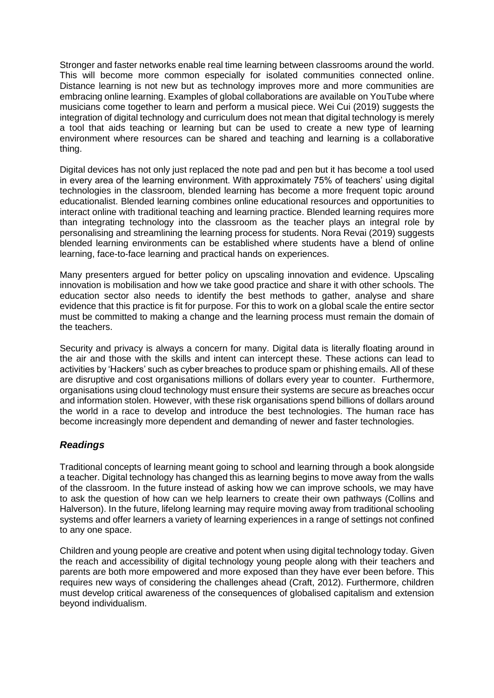Stronger and faster networks enable real time learning between classrooms around the world. This will become more common especially for isolated communities connected online. Distance learning is not new but as technology improves more and more communities are embracing online learning. Examples of global collaborations are available on YouTube where musicians come together to learn and perform a musical piece. Wei Cui (2019) suggests the integration of digital technology and curriculum does not mean that digital technology is merely a tool that aids teaching or learning but can be used to create a new type of learning environment where resources can be shared and teaching and learning is a collaborative thing.

Digital devices has not only just replaced the note pad and pen but it has become a tool used in every area of the learning environment. With approximately 75% of teachers' using digital technologies in the classroom, blended learning has become a more frequent topic around educationalist. Blended learning combines online educational resources and opportunities to interact online with traditional teaching and learning practice. Blended learning requires more than integrating technology into the classroom as the teacher plays an integral role by personalising and streamlining the learning process for students. Nora Revai (2019) suggests blended learning environments can be established where students have a blend of online learning, face-to-face learning and practical hands on experiences.

Many presenters argued for better policy on upscaling innovation and evidence. Upscaling innovation is mobilisation and how we take good practice and share it with other schools. The education sector also needs to identify the best methods to gather, analyse and share evidence that this practice is fit for purpose. For this to work on a global scale the entire sector must be committed to making a change and the learning process must remain the domain of the teachers.

Security and privacy is always a concern for many. Digital data is literally floating around in the air and those with the skills and intent can intercept these. These actions can lead to activities by 'Hackers' such as cyber breaches to produce spam or phishing emails. All of these are disruptive and cost organisations millions of dollars every year to counter. Furthermore, organisations using cloud technology must ensure their systems are secure as breaches occur and information stolen. However, with these risk organisations spend billions of dollars around the world in a race to develop and introduce the best technologies. The human race has become increasingly more dependent and demanding of newer and faster technologies.

## *Readings*

Traditional concepts of learning meant going to school and learning through a book alongside a teacher. Digital technology has changed this as learning begins to move away from the walls of the classroom. In the future instead of asking how we can improve schools, we may have to ask the question of how can we help learners to create their own pathways (Collins and Halverson). In the future, lifelong learning may require moving away from traditional schooling systems and offer learners a variety of learning experiences in a range of settings not confined to any one space.

Children and young people are creative and potent when using digital technology today. Given the reach and accessibility of digital technology young people along with their teachers and parents are both more empowered and more exposed than they have ever been before. This requires new ways of considering the challenges ahead (Craft, 2012). Furthermore, children must develop critical awareness of the consequences of globalised capitalism and extension beyond individualism.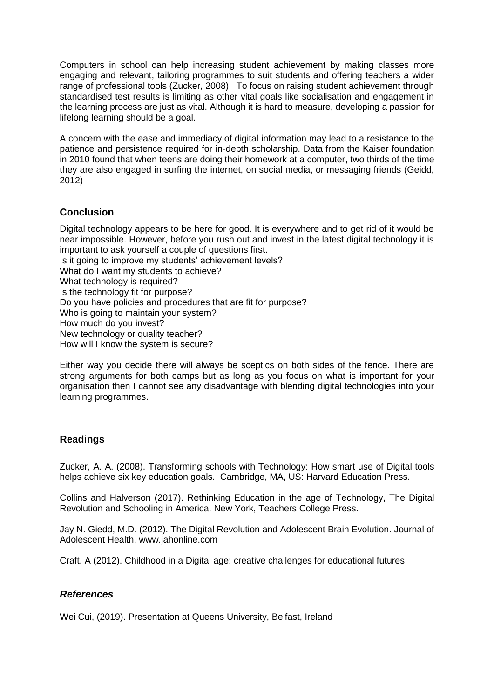Computers in school can help increasing student achievement by making classes more engaging and relevant, tailoring programmes to suit students and offering teachers a wider range of professional tools (Zucker, 2008). To focus on raising student achievement through standardised test results is limiting as other vital goals like socialisation and engagement in the learning process are just as vital. Although it is hard to measure, developing a passion for lifelong learning should be a goal.

A concern with the ease and immediacy of digital information may lead to a resistance to the patience and persistence required for in-depth scholarship. Data from the Kaiser foundation in 2010 found that when teens are doing their homework at a computer, two thirds of the time they are also engaged in surfing the internet, on social media, or messaging friends (Geidd, 2012)

# **Conclusion**

Digital technology appears to be here for good. It is everywhere and to get rid of it would be near impossible. However, before you rush out and invest in the latest digital technology it is important to ask yourself a couple of questions first. Is it going to improve my students' achievement levels? What do I want my students to achieve? What technology is required? Is the technology fit for purpose? Do you have policies and procedures that are fit for purpose? Who is going to maintain your system? How much do you invest? New technology or quality teacher? How will I know the system is secure?

Either way you decide there will always be sceptics on both sides of the fence. There are strong arguments for both camps but as long as you focus on what is important for your organisation then I cannot see any disadvantage with blending digital technologies into your learning programmes.

# **Readings**

Zucker, A. A. (2008). Transforming schools with Technology: How smart use of Digital tools helps achieve six key education goals. Cambridge, MA, US: Harvard Education Press.

Collins and Halverson (2017). Rethinking Education in the age of Technology, The Digital Revolution and Schooling in America. New York, Teachers College Press.

Jay N. Giedd, M.D. (2012). The Digital Revolution and Adolescent Brain Evolution. Journal of Adolescent Health, www.jahonline.com

Craft. A (2012). Childhood in a Digital age: creative challenges for educational futures.

## *References*

Wei Cui, (2019). Presentation at Queens University, Belfast, Ireland